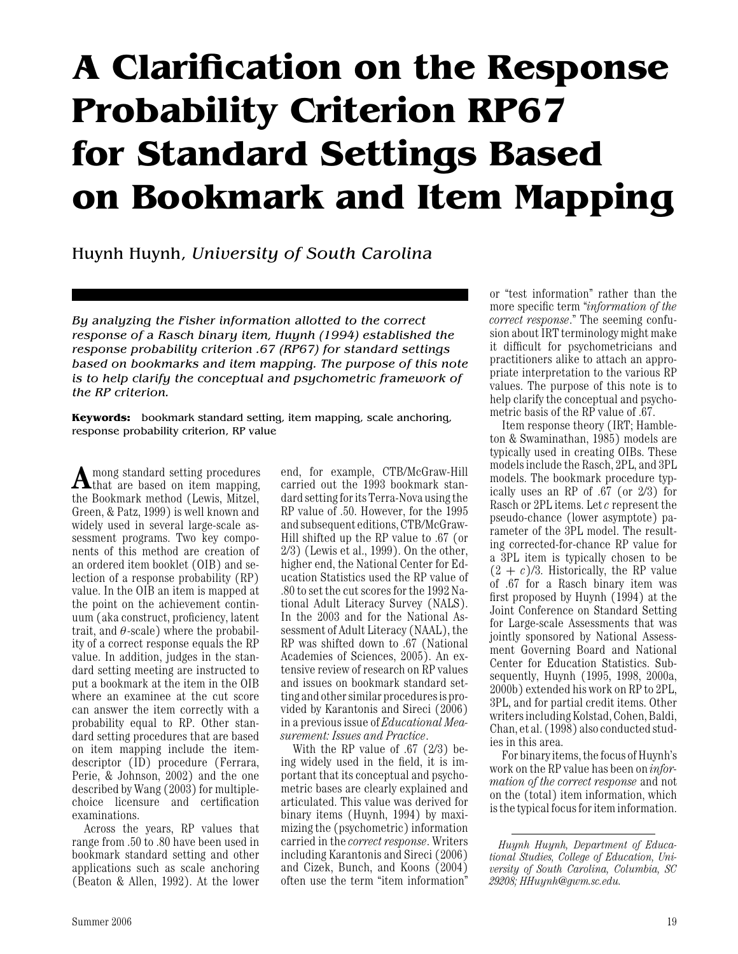## **A Clarification on the Response Probability Criterion RP67 for Standard Settings Based on Bookmark and Item Mapping**

Huynh Huynh, *University of South Carolina*

*By analyzing the Fisher information allotted to the correct response of a Rasch binary item, Huynh (1994) established the response probability criterion .67 (RP67) for standard settings based on bookmarks and item mapping. The purpose of this note is to help clarify the conceptual and psychometric framework of the RP criterion.*

**Keywords:** bookmark standard setting, item mapping, scale anchoring, response probability criterion, RP value

**A**mong standard setting procedures that are based on item mapping, the Bookmark method (Lewis, Mitzel, Green, & Patz, 1999) is well known and widely used in several large-scale assessment programs. Two key components of this method are creation of an ordered item booklet (OIB) and selection of a response probability (RP) value. In the OIB an item is mapped at the point on the achievement continuum (aka construct, proficiency, latent trait, and  $\theta$ -scale) where the probability of a correct response equals the RP value. In addition, judges in the standard setting meeting are instructed to put a bookmark at the item in the OIB where an examinee at the cut score can answer the item correctly with a probability equal to RP. Other standard setting procedures that are based on item mapping include the itemdescriptor (ID) procedure (Ferrara, Perie, & Johnson, 2002) and the one described by Wang (2003) for multiplechoice licensure and certification examinations.

Across the years, RP values that range from .50 to .80 have been used in bookmark standard setting and other applications such as scale anchoring (Beaton & Allen, 1992). At the lower

end, for example, CTB/McGraw-Hill carried out the 1993 bookmark standard settingfor its Terra-Nova using the RP value of .50. However, for the 1995 and subsequent editions, CTB/McGraw-Hill shifted up the RP value to .67 (or 2/3) (Lewis et al., 1999). On the other, higher end, the National Center for Education Statistics used the RP value of .80 to set the cut scores for the 1992 National Adult Literacy Survey (NALS). In the 2003 and for the National Assessment of Adult Literacy (NAAL), the RP was shifted down to .67 (National Academies of Sciences, 2005). An extensive review of research on RP values and issues on bookmark standard setting and other similar proceduresis provided by Karantonis and Sireci (2006) in a previous issue of *Educational Measurement: Issues and Practice*.

With the RP value of .67 (2/3) being widely used in the field, it is important that its conceptual and psychometric bases are clearly explained and articulated. This value was derived for binary items (Huynh, 1994) by maximizing the (psychometric) information carried in the *correct response*. Writers including Karantonis and Sireci (2006) and Cizek, Bunch, and Koons (2004) often use the term "item information"

or "test information" rather than the more specific term "*information of the correct response*." The seeming confusion about IRT terminology might make it difficult for psychometricians and practitioners alike to attach an appropriate interpretation to the various RP values. The purpose of this note is to help clarify the conceptual and psychometric basis of the RP value of .67.

Item response theory (IRT; Hambleton & Swaminathan, 1985) models are typically used in creating OIBs. These models include the Rasch, 2PL, and 3PL models. The bookmark procedure typically uses an RP of .67 (or 2/3) for Rasch or 2PL items. Let*c*represent the pseudo-chance (lower asymptote) parameter of the 3PL model. The resulting corrected-for-chance RP value for a 3PL item is typically chosen to be  $(2 + c)/3$ . Historically, the RP value of .67 for a Rasch binary item was first proposed by Huynh (1994) at the Joint Conference on Standard Setting for Large-scale Assessments that was jointly sponsored by National Assessment Governing Board and National Center for Education Statistics. Subsequently, Huynh (1995, 1998, 2000a, 2000b) extended his work on RP to 2PL, 3PL, and for partial credit items. Other writers including Kolstad, Cohen, Baldi, Chan, et al. (1998) also conducted studies in this area.

For binary items, thefocus of Huynh's work on the RP value has been on *information of the correct response* and not on the (total) item information, which is the typical focus for item information.

*Huynh Huynh, Department of Educational Studies, College of Education, University of South Carolina, Columbia, SC 29208; HHuynh@gwm.sc.edu.*